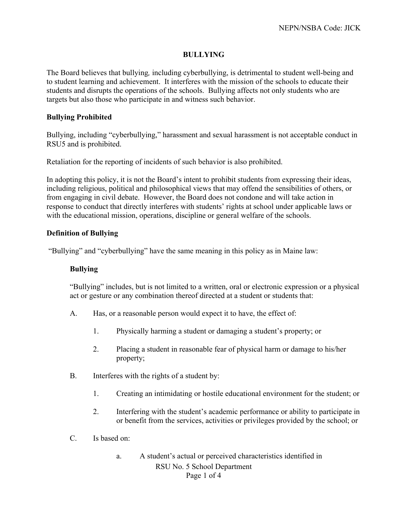## **BULLYING**

The Board believes that bullying*,* including cyberbullying, is detrimental to student well-being and to student learning and achievement. It interferes with the mission of the schools to educate their students and disrupts the operations of the schools. Bullying affects not only students who are targets but also those who participate in and witness such behavior.

## **Bullying Prohibited**

Bullying, including "cyberbullying," harassment and sexual harassment is not acceptable conduct in RSU5 and is prohibited.

Retaliation for the reporting of incidents of such behavior is also prohibited.

In adopting this policy, it is not the Board's intent to prohibit students from expressing their ideas, including religious, political and philosophical views that may offend the sensibilities of others, or from engaging in civil debate. However, the Board does not condone and will take action in response to conduct that directly interferes with students' rights at school under applicable laws or with the educational mission, operations, discipline or general welfare of the schools.

# **Definition of Bullying**

"Bullying" and "cyberbullying" have the same meaning in this policy as in Maine law:

## **Bullying**

"Bullying" includes, but is not limited to a written, oral or electronic expression or a physical act or gesture or any combination thereof directed at a student or students that:

- A. Has, or a reasonable person would expect it to have, the effect of:
	- 1. Physically harming a student or damaging a student's property; or
	- 2. Placing a student in reasonable fear of physical harm or damage to his/her property;
- B. Interferes with the rights of a student by:
	- 1. Creating an intimidating or hostile educational environment for the student; or
	- 2. Interfering with the student's academic performance or ability to participate in or benefit from the services, activities or privileges provided by the school; or
- C. Is based on:
	- RSU No. 5 School Department Page 1 of 4 a. A student's actual or perceived characteristics identified in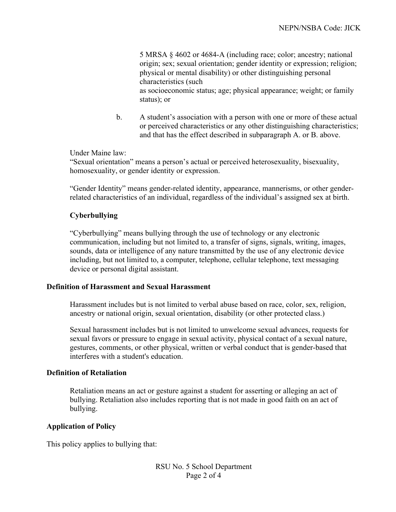5 MRSA § 4602 or 4684-A (including race; color; ancestry; national origin; sex; sexual orientation; gender identity or expression; religion; physical or mental disability) or other distinguishing personal characteristics (such as socioeconomic status; age; physical appearance; weight; or family status); or

b. A student's association with a person with one or more of these actual or perceived characteristics or any other distinguishing characteristics; and that has the effect described in subparagraph A. or B. above.

Under Maine law:

"Sexual orientation" means a person's actual or perceived heterosexuality, bisexuality, homosexuality, or gender identity or expression.

"Gender Identity" means gender-related identity, appearance, mannerisms, or other genderrelated characteristics of an individual, regardless of the individual's assigned sex at birth.

# **Cyberbullying**

"Cyberbullying" means bullying through the use of technology or any electronic communication, including but not limited to, a transfer of signs, signals, writing, images, sounds, data or intelligence of any nature transmitted by the use of any electronic device including, but not limited to, a computer, telephone, cellular telephone, text messaging device or personal digital assistant.

## **Definition of Harassment and Sexual Harassment**

Harassment includes but is not limited to verbal abuse based on race, color, sex, religion, ancestry or national origin, sexual orientation, disability (or other protected class.)

Sexual harassment includes but is not limited to unwelcome sexual advances, requests for sexual favors or pressure to engage in sexual activity, physical contact of a sexual nature, gestures, comments, or other physical, written or verbal conduct that is gender-based that interferes with a student's education.

#### **Definition of Retaliation**

Retaliation means an act or gesture against a student for asserting or alleging an act of bullying. Retaliation also includes reporting that is not made in good faith on an act of bullying.

## **Application of Policy**

This policy applies to bullying that: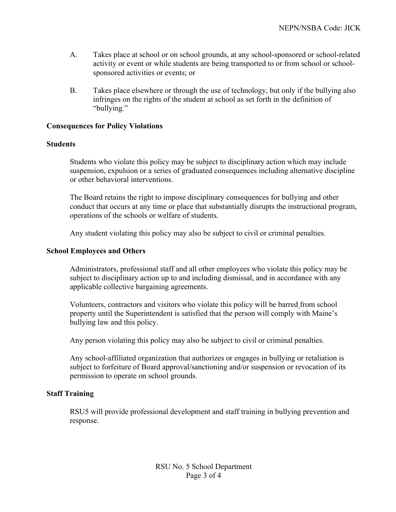- A. Takes place at school or on school grounds, at any school-sponsored or school-related activity or event or while students are being transported to or from school or schoolsponsored activities or events; or
- B. Takes place elsewhere or through the use of technology, but only if the bullying also infringes on the rights of the student at school as set forth in the definition of "bullying."

#### **Consequences for Policy Violations**

#### **Students**

Students who violate this policy may be subject to disciplinary action which may include suspension, expulsion or a series of graduated consequences including alternative discipline or other behavioral interventions.

The Board retains the right to impose disciplinary consequences for bullying and other conduct that occurs at any time or place that substantially disrupts the instructional program, operations of the schools or welfare of students.

Any student violating this policy may also be subject to civil or criminal penalties.

#### **School Employees and Others**

Administrators, professional staff and all other employees who violate this policy may be subject to disciplinary action up to and including dismissal, and in accordance with any applicable collective bargaining agreements.

Volunteers, contractors and visitors who violate this policy will be barred from school property until the Superintendent is satisfied that the person will comply with Maine's bullying law and this policy.

Any person violating this policy may also be subject to civil or criminal penalties.

Any school-affiliated organization that authorizes or engages in bullying or retaliation is subject to forfeiture of Board approval/sanctioning and/or suspension or revocation of its permission to operate on school grounds.

# **Staff Training**

RSU5 will provide professional development and staff training in bullying prevention and response.